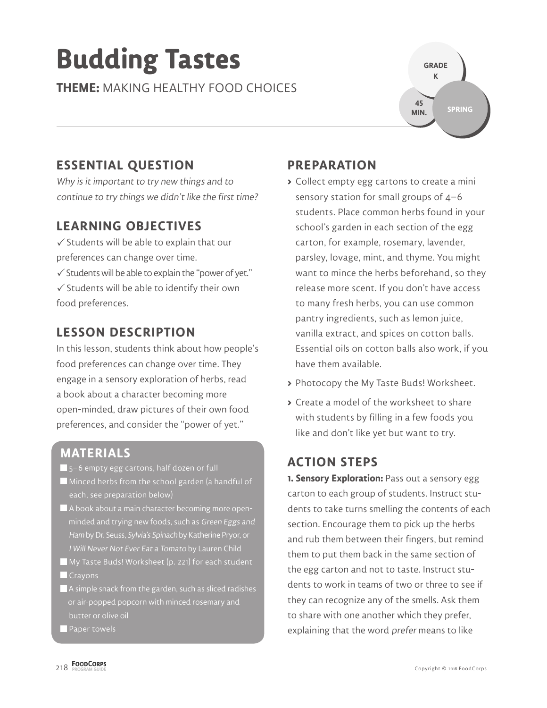# **Budding Tastes**

**THEME:** MAKING HEALTHY FOOD CHOICES



# **ESSENTIAL QUESTION**

Why is it important to try new things and to continue to try things we didn't like the first time?

### **LEARNING OBJECTIVES**

 $\checkmark$  Students will be able to explain that our preferences can change over time.

 $\checkmark$  Students will be able to explain the "power of yet."

 $\checkmark$  Students will be able to identify their own food preferences.

# **LESSON DESCRIPTION**

In this lesson, students think about how people's food preferences can change over time. They engage in a sensory exploration of herbs, read a book about a character becoming more open-minded, draw pictures of their own food preferences, and consider the "power of yet."

### **MATERIALS**

5–6 empty egg cartons, half dozen or full

- Minced herbs from the school garden (a handful of each, see preparation below)
- A book about a main character becoming more open minded and trying new foods, such as Green Eggs and Ham by Dr. Seuss, Sylvia's Spinach by Katherine Pryor, or I Will Never Not Ever Eat a Tomato by Lauren Child
- My Taste Buds! Worksheet (p. 221) for each student
- **Crayons**
- A simple snack from the garden, such as sliced radishes or air-popped popcorn with minced rosemary and butter or olive oil

**Paper towels** 

## **PREPARATION**

- **>** Collect empty egg cartons to create a mini sensory station for small groups of 4–6 students. Place common herbs found in your school's garden in each section of the egg carton, for example, rosemary, lavender, parsley, lovage, mint, and thyme. You might want to mince the herbs beforehand, so they release more scent. If you don't have access to many fresh herbs, you can use common pantry ingredients, such as lemon juice, vanilla extract, and spices on cotton balls. Essential oils on cotton balls also work, if you have them available.
- **>** Photocopy the My Taste Buds! Worksheet.
- **>** Create a model of the worksheet to share with students by filling in a few foods you like and don't like yet but want to try.

### **ACTION STEPS**

**1. Sensory Exploration:** Pass out a sensory egg carton to each group of students. Instruct students to take turns smelling the contents of each section. Encourage them to pick up the herbs and rub them between their fingers, but remind them to put them back in the same section of the egg carton and not to taste. Instruct students to work in teams of two or three to see if they can recognize any of the smells. Ask them to share with one another which they prefer, explaining that the word prefer means to like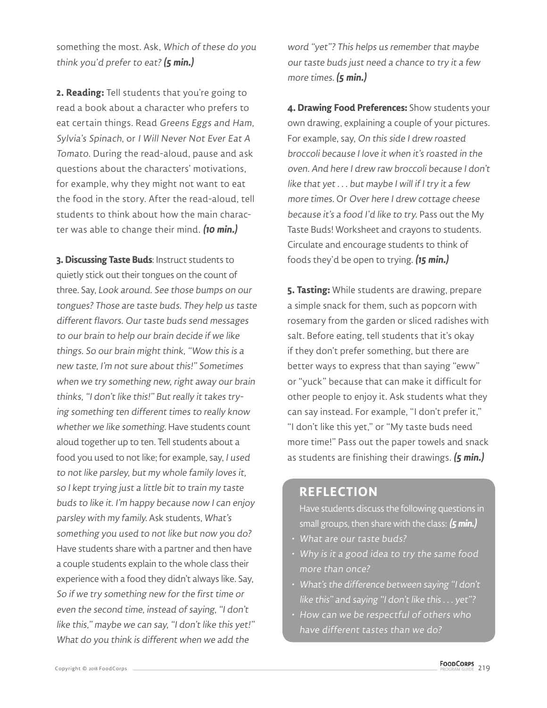something the most. Ask, Which of these do you think you'd prefer to eat?**(5 min.)**

**2. Reading:** Tell students that you're going to read a book about a character who prefers to eat certain things. Read Greens Eggs and Ham, Sylvia's Spinach, or I Will Never Not Ever Eat A Tomato. During the read-aloud, pause and ask questions about the characters' motivations, for example, why they might not want to eat the food in the story. After the read-aloud, tell students to think about how the main character was able to change their mind. **(10 min.)**

**3. Discussing Taste Buds**: Instruct students to quietly stick out their tongues on the count of three. Say, Look around. See those bumps on our tongues? Those are taste buds. They help us taste different flavors. Our taste buds send messages to our brain to help our brain decide if we like things. So our brain might think, "Wow this is a new taste, I'm not sure about this!" Sometimes when we try something new, right away our brain thinks, "I don't like this!" But really it takes trying something ten different times to really know whether we like something. Have students count aloud together up to ten. Tell students about a food you used to not like; for example, say, I used to not like parsley, but my whole family loves it, so I kept trying just a little bit to train my taste buds to like it. I'm happy because now I can enjoy parsley with my family. Ask students, What's something you used to not like but now you do? Have students share with a partner and then have a couple students explain to the whole class their experience with a food they didn't always like. Say, So if we try something new for the first time or even the second time, instead of saying, "I don't like this," maybe we can say, "I don't like this yet!" What do you think is different when we add the

word "yet"? This helps us remember that maybe our taste buds just need a chance to try it a few more times. **(5 min.)**

**4. Drawing Food Preferences:** Show students your own drawing, explaining a couple of your pictures. For example, say, On this side I drew roasted broccoli because I love it when it's roasted in the oven. And here I drew raw broccoli because I don't like that yet . . . but maybe I will if I try it a few more times. Or Over here I drew cottage cheese because it's a food I'd like to try. Pass out the My Taste Buds! Worksheet and crayons to students. Circulate and encourage students to think of foods they'd be open to trying. **(15 min.)**

**5. Tasting:** While students are drawing, prepare a simple snack for them, such as popcorn with rosemary from the garden or sliced radishes with salt. Before eating, tell students that it's okay if they don't prefer something, but there are better ways to express that than saying "eww" or "yuck" because that can make it difficult for other people to enjoy it. Ask students what they can say instead. For example, "I don't prefer it," "I don't like this yet," or "My taste buds need more time!" Pass out the paper towels and snack as students are finishing their drawings. **(5 min.)**

#### **REFLECTION**

Have students discuss the following questions in small groups, then share with the class: **(5 min.)**

- What are our taste buds?
- Why is it a good idea to try the same food more than once?
- What's the difference between saying "I don't like this" and saying "I don't like this . . . yet"?
- How can we be respectful of others who have different tastes than we do?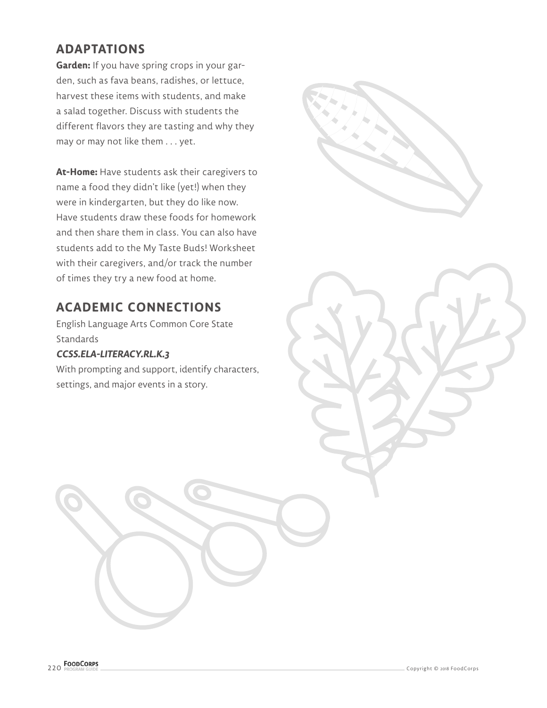## **ADAPTATIONS**

**Garden:** If you have spring crops in your garden, such as fava beans, radishes, or lettuce, harvest these items with students, and make a salad together. Discuss with students the different flavors they are tasting and why they may or may not like them . . . yet.

**At-Home:** Have students ask their caregivers to name a food they didn't like (yet!) when they were in kindergarten, but they do like now. Have students draw these foods for homework and then share them in class. You can also have students add to the My Taste Buds! Worksheet with their caregivers, and/or track the number of times they try a new food at home.

#### **ACADEMIC CONNECTIONS**

English Language Arts Common Core State **Standards** 

#### **CCSS.ELA-LITERACY.RL.K.3**

With prompting and support, identify characters, settings, and major events in a story.